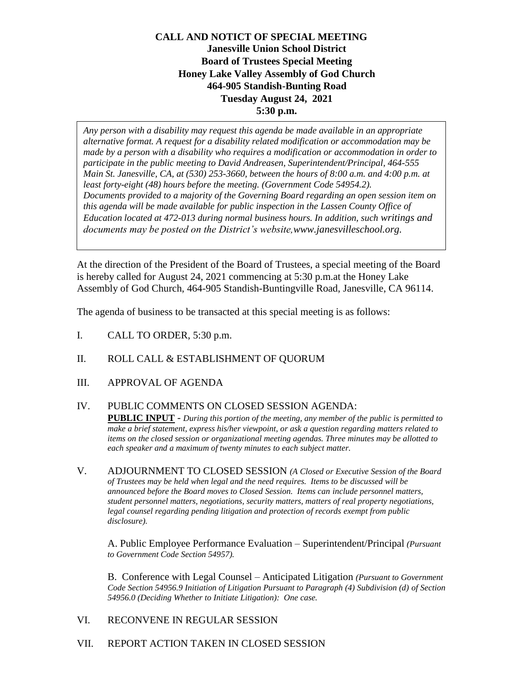## **CALL AND NOTICT OF SPECIAL MEETING Janesville Union School District Board of Trustees Special Meeting Honey Lake Valley Assembly of God Church 464-905 Standish-Bunting Road Tuesday August 24, 2021 5:30 p.m.**

*Any person with a disability may request this agenda be made available in an appropriate alternative format. A request for a disability related modification or accommodation may be made by a person with a disability who requires a modification or accommodation in order to participate in the public meeting to David Andreasen, Superintendent/Principal, 464-555 Main St. Janesville, CA, at (530) 253-3660, between the hours of 8:00 a.m. and 4:00 p.m. at least forty-eight (48) hours before the meeting. (Government Code 54954.2). Documents provided to a majority of the Governing Board regarding an open session item on this agenda will be made available for public inspection in the Lassen County Office of Education located at 472-013 during normal business hours. In addition, such writings and documents may be posted on the District's website,www.janesvilleschool.org.*

At the direction of the President of the Board of Trustees, a special meeting of the Board is hereby called for August 24, 2021 commencing at 5:30 p.m.at the Honey Lake Assembly of God Church, 464-905 Standish-Buntingville Road, Janesville, CA 96114.

The agenda of business to be transacted at this special meeting is as follows:

- I. CALL TO ORDER, 5:30 p.m.
- II. ROLL CALL & ESTABLISHMENT OF QUORUM
- III. APPROVAL OF AGENDA
- IV. PUBLIC COMMENTS ON CLOSED SESSION AGENDA: **PUBLIC INPUT** - *During this portion of the meeting, any member of the public is permitted to make a brief statement, express his/her viewpoint, or ask a question regarding matters related to items on the closed session or organizational meeting agendas. Three minutes may be allotted to each speaker and a maximum of twenty minutes to each subject matter.*
- V. ADJOURNMENT TO CLOSED SESSION *(A Closed or Executive Session of the Board of Trustees may be held when legal and the need requires. Items to be discussed will be announced before the Board moves to Closed Session. Items can include personnel matters, student personnel matters, negotiations, security matters, matters of real property negotiations, legal counsel regarding pending litigation and protection of records exempt from public disclosure).*

A. Public Employee Performance Evaluation – Superintendent/Principal *(Pursuant to Government Code Section 54957).*

B. Conference with Legal Counsel – Anticipated Litigation *(Pursuant to Government Code Section 54956.9 Initiation of Litigation Pursuant to Paragraph (4) Subdivision (d) of Section 54956.0 (Deciding Whether to Initiate Litigation): One case.*

- VI. RECONVENE IN REGULAR SESSION
- VII. REPORT ACTION TAKEN IN CLOSED SESSION